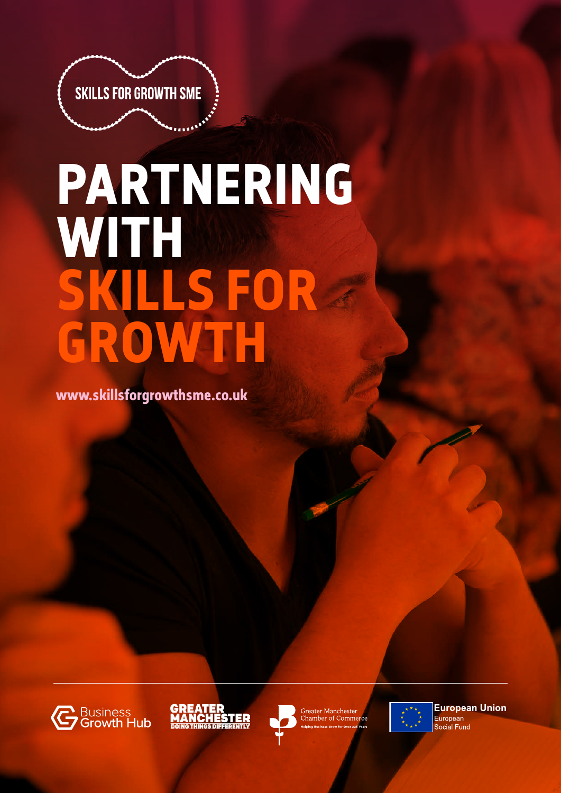

# **PARTNERING WITH SKILLS FOR GROWTH**

**www.skillsforgrowthsme.co.uk**







Greater Manchester<br>Chamber of Commerce



**European Union** European Social Fund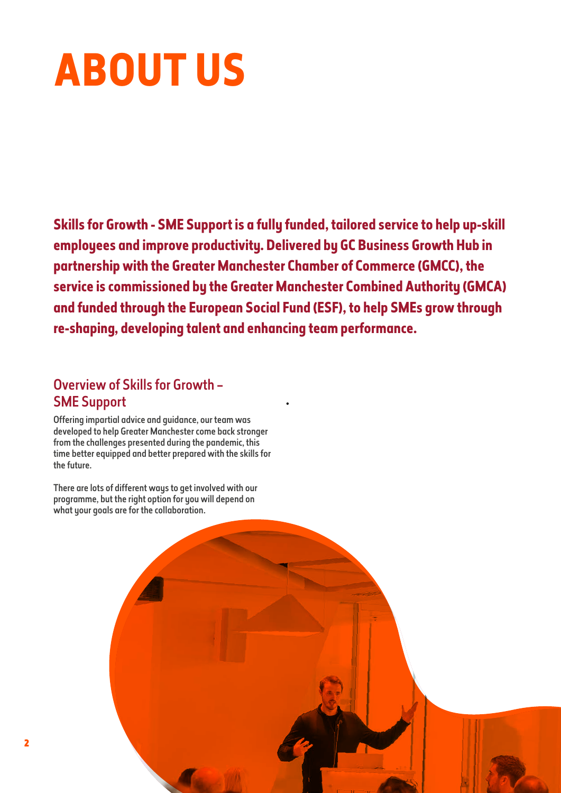## **ABOUT US**

**Skills for Growth - SME Support is a fully funded, tailored service to help up-skill employees and improve productivity. Delivered by GC Business Growth Hub in partnership with the Greater Manchester Chamber of Commerce (GMCC), the service is commissioned by the Greater Manchester Combined Authority (GMCA) and funded through the European Social Fund (ESF), to help SMEs grow through re-shaping, developing talent and enhancing team performance.**

•

### Overview of Skills for Growth – SME Support

Offering impartial advice and guidance, our team was developed to help Greater Manchester come back stronger from the challenges presented during the pandemic, this time better equipped and better prepared with the skills for the future.

There are lots of different ways to get involved with our programme, but the right option for you will depend on what your goals are for the collaboration.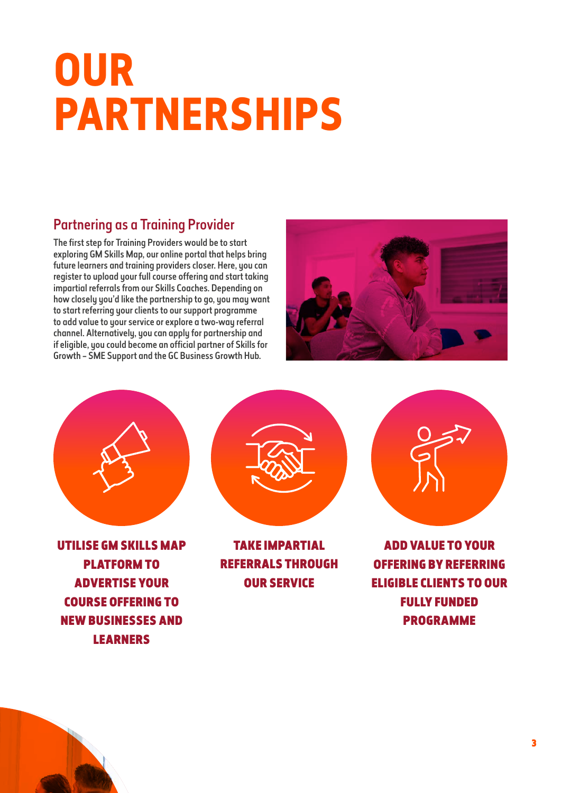## **OUR PARTNERSHIPS**

### Partnering as a Training Provider

The first step for Training Providers would be to start exploring GM Skills Map, our online portal that helps bring future learners and training providers closer. Here, you can register to upload your full course offering and start taking impartial referrals from our Skills Coaches. Depending on how closely you'd like the partnership to go, you may want to start referring your clients to our support programme to add value to your service or explore a two-way referral channel. Alternatively, you can apply for partnership and if eligible, you could become an official partner of Skills for Growth – SME Support and the GC Business Growth Hub.





UTILISE GM SKILLS MAP PLATFORM TO ADVERTISE YOUR COURSE OFFERING TO NEW BUSINESSES AND LEARNERS



TAKE IMPARTIAL REFERRALS THROUGH OUR SERVICE



ADD VALUE TO YOUR OFFERING BY REFERRING ELIGIBLE CLIENTS TO OUR FULLY FUNDED PROGRAMME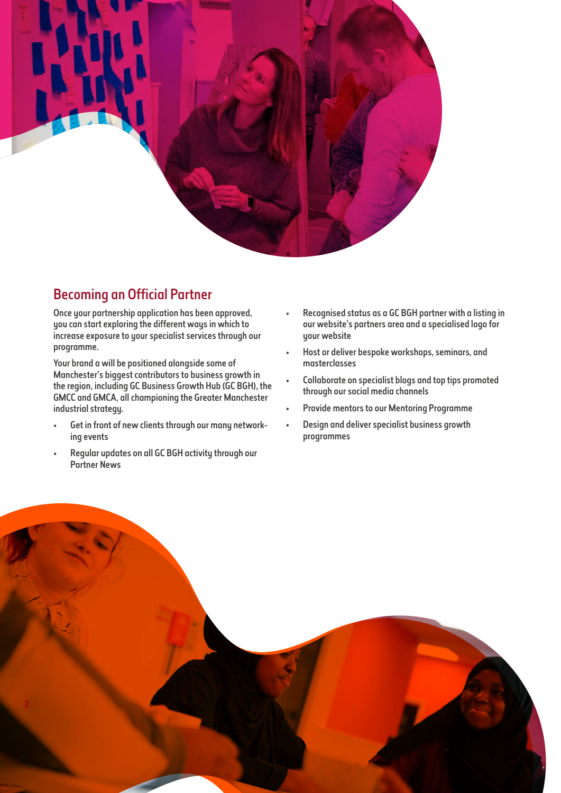

### Becoming an Official Partner

Once your partnership application has been approved, you can start exploring the different ways in which to increase exposure to your specialist services through our programme.

Your brand a will be positioned alongside some of Manchester's biggest contributors to business growth in the region, including GC Business Growth Hub (GC BGH), the GMCC and GMCA, all championing the Greater Manchester industrial strategy.

- Get in front of new clients through our many networking events
- Regular updates on all GC BGH activity through our Partner News
- Recognised status as a GC BGH partner with a listing in our website's partners area and a specialised logo for your website
- Host or deliver bespoke workshops, seminars, and masterclasses
- Collaborate on specialist blogs and top tips promoted through our social media channels
- Provide mentors to our Mentoring Programme
- Design and deliver specialist business growth programmes

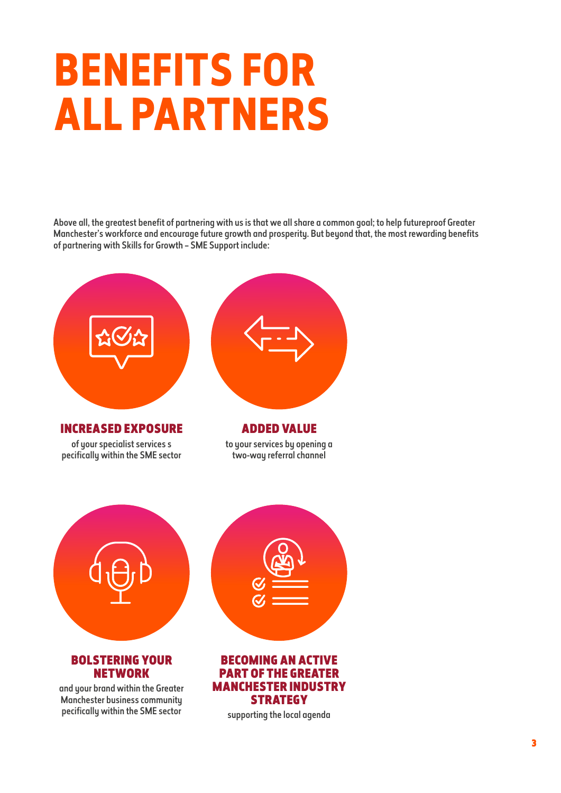## **BENEFITS FOR ALL PARTNERS**

Above all, the greatest benefit of partnering with us is that we all share a common goal; to help futureproof Greater Manchester's workforce and encourage future growth and prosperity. But beyond that, the most rewarding benefits of partnering with Skills for Growth – SME Support include: